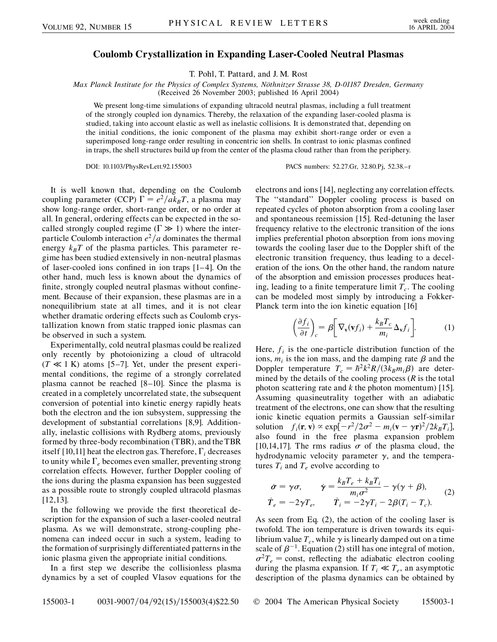## **Coulomb Crystallization in Expanding Laser-Cooled Neutral Plasmas**

T. Pohl, T. Pattard, and J. M. Rost

*Max Planck Institute for the Physics of Complex Systems, Nöthnitzer Strasse 38, D-01187 Dresden, Germany* (Received 26 November 2003; published 16 April 2004)

We present long-time simulations of expanding ultracold neutral plasmas, including a full treatment of the strongly coupled ion dynamics. Thereby, the relaxation of the expanding laser-cooled plasma is studied, taking into account elastic as well as inelastic collisions. It is demonstrated that, depending on the initial conditions, the ionic component of the plasma may exhibit short-range order or even a superimposed long-range order resulting in concentric ion shells. In contrast to ionic plasmas confined in traps, the shell structures build up from the center of the plasma cloud rather than from the periphery.

DOI: 10.1103/PhysRevLett.92.155003 PACS numbers: 52.27.Gr, 32.80.Pj, 52.38.–r

It is well known that, depending on the Coulomb coupling parameter (CCP)  $\Gamma = e^2/ak_BT$ , a plasma may show long-range order, short-range order, or no order at all. In general, ordering effects can be expected in the socalled strongly coupled regime ( $\Gamma \gg 1$ ) where the interparticle Coulomb interaction  $e^2/a$  dominates the thermal energy  $k_B T$  of the plasma particles. This parameter regime has been studied extensively in non-neutral plasmas of laser-cooled ions confined in ion traps [1–4]. On the other hand, much less is known about the dynamics of finite, strongly coupled neutral plasmas without confinement. Because of their expansion, these plasmas are in a nonequilibrium state at all times, and it is not clear whether dramatic ordering effects such as Coulomb crystallization known from static trapped ionic plasmas can be observed in such a system.

Experimentally, cold neutral plasmas could be realized only recently by photoionizing a cloud of ultracold  $(T \ll 1 \text{ K})$  atoms [5–7]. Yet, under the present experimental conditions, the regime of a strongly correlated plasma cannot be reached [8–10]. Since the plasma is created in a completely uncorrelated state, the subsequent conversion of potential into kinetic energy rapidly heats both the electron and the ion subsystem, suppressing the development of substantial correlations [8,9]. Additionally, inelastic collisions with Rydberg atoms, previously formed by three-body recombination (TBR), and the TBR itself [10,11] heat the electron gas. Therefore,  $\Gamma_i$  decreases to unity while  $\Gamma_e$  becomes even smaller, preventing strong correlation effects. However, further Doppler cooling of the ions during the plasma expansion has been suggested as a possible route to strongly coupled ultracold plasmas [12,13].

In the following we provide the first theoretical description for the expansion of such a laser-cooled neutral plasma. As we will demonstrate, strong-coupling phenomena can indeed occur in such a system, leading to the formation of surprisingly differentiated patterns in the ionic plasma given the appropriate initial conditions.

In a first step we describe the collisionless plasma dynamics by a set of coupled Vlasov equations for the electrons and ions [14], neglecting any correlation effects. The ''standard'' Doppler cooling process is based on repeated cycles of photon absorption from a cooling laser and spontaneous reemission [15]. Red-detuning the laser frequency relative to the electronic transition of the ions implies preferential photon absorption from ions moving towards the cooling laser due to the Doppler shift of the electronic transition frequency, thus leading to a deceleration of the ions. On the other hand, the random nature of the absorption and emission processes produces heating, leading to a finite temperature limit  $T_c$ . The cooling can be modeled most simply by introducing a Fokker-Planck term into the ion kinetic equation [16]

$$
\left(\frac{\partial f_i}{\partial t}\right)_c = \beta \left[ \nabla_{\mathbf{v}}(\mathbf{v} f_i) + \frac{k_B T_c}{m_i} \Delta_{\mathbf{v}} f_i \right].
$$
 (1)

Here,  $f_i$  is the one-particle distribution function of the ions,  $m_i$  is the ion mass, and the damping rate  $\beta$  and the Doppler temperature  $T_c = \hbar^2 k^2 R / (3 k_B m_i \beta)$  are determined by the details of the cooling process (*R* is the total photon scattering rate and *k* the photon momentum) [15]. Assuming quasineutrality together with an adiabatic treatment of the electrons, one can show that the resulting ionic kinetic equation permits a Gaussian self-similar solution  $f_i(\mathbf{r}, \mathbf{v}) \propto \exp[-r^2/2\sigma^2 - m_i(\mathbf{v} - \gamma \mathbf{r})^2/2k_B T_i]$ , also found in the free plasma expansion problem [10,14,17]. The rms radius  $\sigma$  of the plasma cloud, the hydrodynamic velocity parameter  $\gamma$ , and the temperatures  $T_i$  and  $T_e$  evolve according to

$$
\dot{\sigma} = \gamma \sigma, \qquad \dot{\gamma} = \frac{k_B T_e + k_B T_i}{m_i \sigma^2} - \gamma (\gamma + \beta),
$$
  

$$
\dot{T}_e = -2\gamma T_e, \qquad \dot{T}_i = -2\gamma T_i - 2\beta (T_i - T_c).
$$
 (2)

As seen from Eq. (2), the action of the cooling laser is twofold. The ion temperature is driven towards its equilibrium value  $T_c$ , while  $\gamma$  is linearly damped out on a time scale of  $\beta^{-1}$ . Equation (2) still has one integral of motion,  $\sigma^2 T_e$  = const, reflecting the adiabatic electron cooling during the plasma expansion. If  $T_i \ll T_e$ , an asymptotic description of the plasma dynamics can be obtained by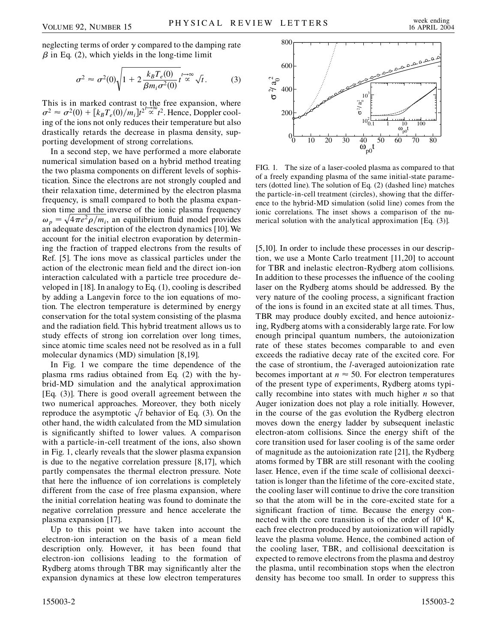neglecting terms of order  $\gamma$  compared to the damping rate  $\beta$  in Eq. (2), which yields in the long-time limit

$$
\sigma^2 \approx \sigma^2(0)\sqrt{1 + 2\frac{k_B T_e(0)}{\beta m_i \sigma^2(0)}} t \sim \sqrt{t}.
$$
 (3)

This is in marked contrast to the free expansion, where  $\sigma^2 \approx \sigma^2(0) + [k_B T_e(0)/m_i] t^{2/\infty} \tau^2$ . Hence, Doppler cooling of the ions not only reduces their temperature but also drastically retards the decrease in plasma density, supporting development of strong correlations.

In a second step, we have performed a more elaborate numerical simulation based on a hybrid method treating the two plasma components on different levels of sophistication. Since the electrons are not strongly coupled and their relaxation time, determined by the electron plasma frequency, is small compared to both the plasma expansion time and the inverse of the ionic plasma frequency sion time and the inverse of the folic plasma requency  $\omega_p = \sqrt{4\pi e^2 \rho/m_i}$ , an equilibrium fluid model provides an adequate description of the electron dynamics [10]. We account for the initial electron evaporation by determining the fraction of trapped electrons from the results of Ref. [5]. The ions move as classical particles under the action of the electronic mean field and the direct ion-ion interaction calculated with a particle tree procedure developed in [18]. In analogy to Eq. (1), cooling is described by adding a Langevin force to the ion equations of motion. The electron temperature is determined by energy conservation for the total system consisting of the plasma and the radiation field. This hybrid treatment allows us to study effects of strong ion correlation over long times, since atomic time scales need not be resolved as in a full molecular dynamics (MD) simulation [8,19].

In Fig. 1 we compare the time dependence of the plasma rms radius obtained from Eq. (2) with the hybrid-MD simulation and the analytical approximation [Eq. (3)]. There is good overall agreement between the two numerical approaches. Moreover, they both nicely two numerical approaches. Moreover, they both nicely<br>reproduce the asymptotic  $\sqrt{t}$  behavior of Eq. (3). On the other hand, the width calculated from the MD simulation is significantly shifted to lower values. A comparison with a particle-in-cell treatment of the ions, also shown in Fig. 1, clearly reveals that the slower plasma expansion is due to the negative correlation pressure [8,17], which partly compensates the thermal electron pressure. Note that here the influence of ion correlations is completely different from the case of free plasma expansion, where the initial correlation heating was found to dominate the negative correlation pressure and hence accelerate the plasma expansion [17].

Up to this point we have taken into account the electron-ion interaction on the basis of a mean field description only. However, it has been found that electron-ion collisions leading to the formation of Rydberg atoms through TBR may significantly alter the expansion dynamics at these low electron temperatures



FIG. 1. The size of a laser-cooled plasma as compared to that of a freely expanding plasma of the same initial-state parameters (dotted line). The solution of Eq. (2) (dashed line) matches the particle-in-cell treatment (circles), showing that the difference to the hybrid-MD simulation (solid line) comes from the ionic correlations. The inset shows a comparison of the numerical solution with the analytical approximation [Eq. (3)].

[5,10]. In order to include these processes in our description, we use a Monte Carlo treatment [11,20] to account for TBR and inelastic electron-Rydberg atom collisions. In addition to these processes the influence of the cooling laser on the Rydberg atoms should be addressed. By the very nature of the cooling process, a significant fraction of the ions is found in an excited state at all times. Thus, TBR may produce doubly excited, and hence autoionizing, Rydberg atoms with a considerably large rate. For low enough principal quantum numbers, the autoionization rate of these states becomes comparable to and even exceeds the radiative decay rate of the excited core. For the case of strontium, the *l*-averaged autoionization rate becomes important at  $n \approx 50$ . For electron temperatures of the present type of experiments, Rydberg atoms typically recombine into states with much higher *n* so that Auger ionization does not play a role initially. However, in the course of the gas evolution the Rydberg electron moves down the energy ladder by subsequent inelastic electron-atom collisions. Since the energy shift of the core transition used for laser cooling is of the same order of magnitude as the autoionization rate [21], the Rydberg atoms formed by TBR are still resonant with the cooling laser. Hence, even if the time scale of collisional deexcitation is longer than the lifetime of the core-excited state, the cooling laser will continue to drive the core transition so that the atom will be in the core-excited state for a significant fraction of time. Because the energy connected with the core transition is of the order of  $10^4$  K, each free electron produced by autoionization will rapidly leave the plasma volume. Hence, the combined action of the cooling laser, TBR, and collisional deexcitation is expected to remove electrons from the plasma and destroy the plasma, until recombination stops when the electron density has become too small. In order to suppress this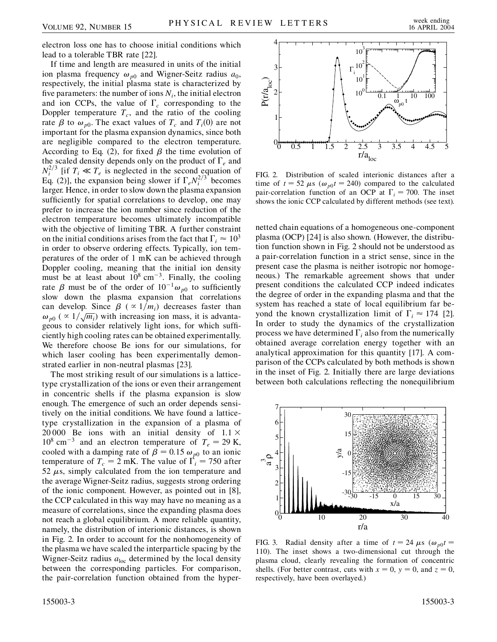electron loss one has to choose initial conditions which lead to a tolerable TBR rate [22].

If time and length are measured in units of the initial ion plasma frequency  $\omega_{p0}$  and Wigner-Seitz radius  $a_0$ , respectively, the initial plasma state is characterized by five parameters: the number of ions  $N_i$ , the initial electron and ion CCPs, the value of  $\Gamma_c$  corresponding to the Doppler temperature  $T_c$ , and the ratio of the cooling rate  $\beta$  to  $\omega_{p0}$ . The exact values of  $T_c$  and  $T_i(0)$  are not important for the plasma expansion dynamics, since both are negligible compared to the electron temperature. According to Eq. (2), for fixed  $\beta$  the time evolution of the scaled density depends only on the product of  $\Gamma_e$  and  $N_i^{2/3}$  [if  $T_i \ll T_e$  is neglected in the second equation of Eq. (2)], the expansion being slower if  $\Gamma_e N_i^{2/3}$  becomes larger. Hence, in order to slow down the plasma expansion sufficiently for spatial correlations to develop, one may prefer to increase the ion number since reduction of the electron temperature becomes ultimately incompatible with the objective of limiting TBR. A further constraint on the initial conditions arises from the fact that  $\Gamma_i \approx 10^3$ in order to observe ordering effects. Typically, ion temperatures of the order of 1 mK can be achieved through Doppler cooling, meaning that the initial ion density must be at least about  $10^8 \text{ cm}^{-3}$ . Finally, the cooling rate  $\beta$  must be of the order of  $10^{-1}\omega_{p0}$  to sufficiently slow down the plasma expansion that correlations can develop. Since  $\beta$  ( $\alpha$  1/m<sub>i</sub>) decreases faster than  $\omega_{p0}$  (  $\propto 1/\sqrt{m_i}$ ) with increasing ion mass, it is advantageous to consider relatively light ions, for which sufficiently high cooling rates can be obtained experimentally. We therefore choose Be ions for our simulations, for which laser cooling has been experimentally demonstrated earlier in non-neutral plasmas [23].

The most striking result of our simulations is a latticetype crystallization of the ions or even their arrangement in concentric shells if the plasma expansion is slow enough. The emergence of such an order depends sensitively on the initial conditions. We have found a latticetype crystallization in the expansion of a plasma of 20 000 Be ions with an initial density of  $1.1 \times$  $10^8$  cm<sup>-3</sup> and an electron temperature of  $T_e = 29$  K, cooled with a damping rate of  $\beta = 0.15 \omega_{p0}$  to an ionic temperature of  $T_c = 2$  mK. The value of  $\overline{\Gamma}_i = 750$  after 52  $\mu$ s, simply calculated from the ion temperature and the average Wigner-Seitz radius, suggests strong ordering of the ionic component. However, as pointed out in [8], the CCP calculated in this way may have no meaning as a measure of correlations, since the expanding plasma does not reach a global equilibrium. A more reliable quantity, namely, the distribution of interionic distances, is shown in Fig. 2. In order to account for the nonhomogeneity of the plasma we have scaled the interparticle spacing by the Wigner-Seitz radius  $a_{\text{loc}}$  determined by the local density between the corresponding particles. For comparison, the pair-correlation function obtained from the hyper-



FIG. 2. Distribution of scaled interionic distances after a time of  $t = 52 \mu s$  ( $\omega_{p0}t = 240$ ) compared to the calculated pair-correlation function of an OCP at  $\Gamma_i = 700$ . The inset shows the ionic CCP calculated by different methods (see text).

netted chain equations of a homogeneous one-component plasma (OCP) [24] is also shown. (However, the distribution function shown in Fig. 2 should not be understood as a pair-correlation function in a strict sense, since in the present case the plasma is neither isotropic nor homogeneous.) The remarkable agreement shows that under present conditions the calculated CCP indeed indicates the degree of order in the expanding plasma and that the system has reached a state of local equilibrium far beyond the known crystallization limit of  $\Gamma_i \approx 174$  [2]. In order to study the dynamics of the crystallization process we have determined  $\Gamma_i$  also from the numerically obtained average correlation energy together with an analytical approximation for this quantity [17]. A comparison of the CCPs calculated by both methods is shown in the inset of Fig. 2. Initially there are large deviations between both calculations reflecting the nonequilibrium



FIG. 3. Radial density after a time of  $t = 24 \mu s$  ( $\omega_{p0}t =$ 110). The inset shows a two-dimensional cut through the plasma cloud, clearly revealing the formation of concentric shells. (For better contrast, cuts with  $x = 0$ ,  $y = 0$ , and  $z = 0$ , respectively, have been overlayed.)